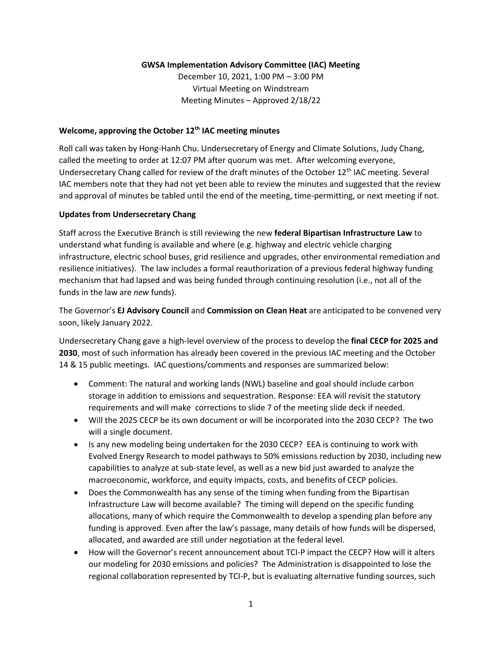## **GWSA Implementation Advisory Committee (IAC) Meeting**

December 10, 2021, 1:00 PM – 3:00 PM Virtual Meeting on Windstream Meeting Minutes – Approved 2/18/22

### **Welcome, approving the October 12th IAC meeting minutes**

Roll call was taken by Hong-Hanh Chu. Undersecretary of Energy and Climate Solutions, Judy Chang, called the meeting to order at 12:07 PM after quorum was met. After welcoming everyone, Undersecretary Chang called for review of the draft minutes of the October 12<sup>th</sup> IAC meeting. Several IAC members note that they had not yet been able to review the minutes and suggested that the review and approval of minutes be tabled until the end of the meeting, time-permitting, or next meeting if not.

#### **Updates from Undersecretary Chang**

Staff across the Executive Branch is still reviewing the new **federal Bipartisan Infrastructure Law** to understand what funding is available and where (e.g. highway and electric vehicle charging infrastructure, electric school buses, grid resilience and upgrades, other environmental remediation and resilience initiatives). The law includes a formal reauthorization of a previous federal highway funding mechanism that had lapsed and was being funded through continuing resolution (i.e., not all of the funds in the law are *new* funds).

The Governor's **EJ Advisory Council** and **Commission on Clean Heat** are anticipated to be convened very soon, likely January 2022.

Undersecretary Chang gave a high-level overview of the process to develop the **final CECP for 2025 and 2030**, most of such information has already been covered in the previous IAC meeting and the October 14 & 15 public meetings. IAC questions/comments and responses are summarized below:

- Comment: The natural and working lands (NWL) baseline and goal should include carbon storage in addition to emissions and sequestration. Response: EEA will revisit the statutory requirements and will make corrections to slide 7 of the meeting slide deck if needed.
- Will the 2025 CECP be its own document or will be incorporated into the 2030 CECP? The two will a single document.
- Is any new modeling being undertaken for the 2030 CECP? EEA is continuing to work with Evolved Energy Research to model pathways to 50% emissions reduction by 2030, including new capabilities to analyze at sub-state level, as well as a new bid just awarded to analyze the macroeconomic, workforce, and equity impacts, costs, and benefits of CECP policies.
- Does the Commonwealth has any sense of the timing when funding from the Bipartisan Infrastructure Law will become available? The timing will depend on the specific funding allocations, many of which require the Commonwealth to develop a spending plan before any funding is approved. Even after the law's passage, many details of how funds will be dispersed, allocated, and awarded are still under negotiation at the federal level.
- How will the Governor's recent announcement about TCI-P impact the CECP? How will it alters our modeling for 2030 emissions and policies? The Administration is disappointed to lose the regional collaboration represented by TCI-P, but is evaluating alternative funding sources, such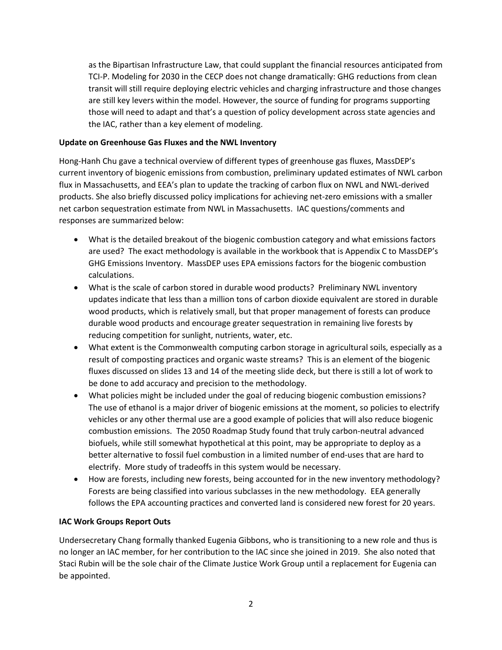as the Bipartisan Infrastructure Law, that could supplant the financial resources anticipated from TCI-P. Modeling for 2030 in the CECP does not change dramatically: GHG reductions from clean transit will still require deploying electric vehicles and charging infrastructure and those changes are still key levers within the model. However, the source of funding for programs supporting those will need to adapt and that's a question of policy development across state agencies and the IAC, rather than a key element of modeling.

## **Update on Greenhouse Gas Fluxes and the NWL Inventory**

Hong-Hanh Chu gave a technical overview of different types of greenhouse gas fluxes, MassDEP's current inventory of biogenic emissions from combustion, preliminary updated estimates of NWL carbon flux in Massachusetts, and EEA's plan to update the tracking of carbon flux on NWL and NWL-derived products. She also briefly discussed policy implications for achieving net-zero emissions with a smaller net carbon sequestration estimate from NWL in Massachusetts. IAC questions/comments and responses are summarized below:

- What is the detailed breakout of the biogenic combustion category and what emissions factors are used? The exact methodology is available in the workbook that is Appendix C to MassDEP's GHG Emissions Inventory. MassDEP uses EPA emissions factors for the biogenic combustion calculations.
- What is the scale of carbon stored in durable wood products? Preliminary NWL inventory updates indicate that less than a million tons of carbon dioxide equivalent are stored in durable wood products, which is relatively small, but that proper management of forests can produce durable wood products and encourage greater sequestration in remaining live forests by reducing competition for sunlight, nutrients, water, etc.
- What extent is the Commonwealth computing carbon storage in agricultural soils, especially as a result of composting practices and organic waste streams? This is an element of the biogenic fluxes discussed on slides 13 and 14 of the meeting slide deck, but there is still a lot of work to be done to add accuracy and precision to the methodology.
- What policies might be included under the goal of reducing biogenic combustion emissions? The use of ethanol is a major driver of biogenic emissions at the moment, so policies to electrify vehicles or any other thermal use are a good example of policies that will also reduce biogenic combustion emissions. The 2050 Roadmap Study found that truly carbon-neutral advanced biofuels, while still somewhat hypothetical at this point, may be appropriate to deploy as a better alternative to fossil fuel combustion in a limited number of end-uses that are hard to electrify. More study of tradeoffs in this system would be necessary.
- How are forests, including new forests, being accounted for in the new inventory methodology? Forests are being classified into various subclasses in the new methodology. EEA generally follows the EPA accounting practices and converted land is considered new forest for 20 years.

# **IAC Work Groups Report Outs**

Undersecretary Chang formally thanked Eugenia Gibbons, who is transitioning to a new role and thus is no longer an IAC member, for her contribution to the IAC since she joined in 2019. She also noted that Staci Rubin will be the sole chair of the Climate Justice Work Group until a replacement for Eugenia can be appointed.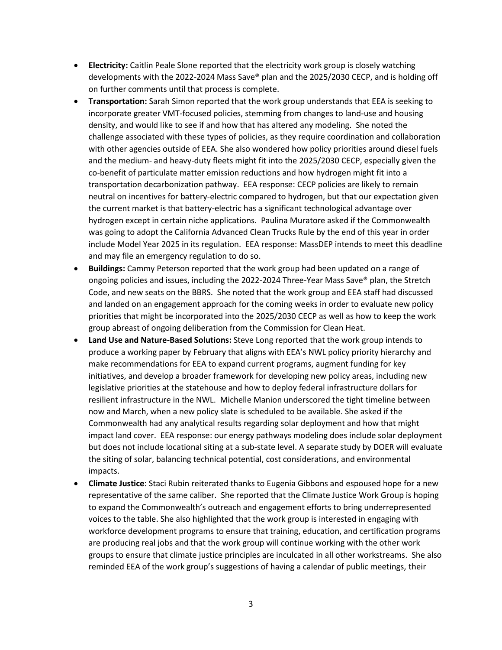- **Electricity:** Caitlin Peale Slone reported that the electricity work group is closely watching developments with the 2022-2024 Mass Save® plan and the 2025/2030 CECP, and is holding off on further comments until that process is complete.
- **Transportation:** Sarah Simon reported that the work group understands that EEA is seeking to incorporate greater VMT-focused policies, stemming from changes to land-use and housing density, and would like to see if and how that has altered any modeling. She noted the challenge associated with these types of policies, as they require coordination and collaboration with other agencies outside of EEA. She also wondered how policy priorities around diesel fuels and the medium- and heavy-duty fleets might fit into the 2025/2030 CECP, especially given the co-benefit of particulate matter emission reductions and how hydrogen might fit into a transportation decarbonization pathway. EEA response: CECP policies are likely to remain neutral on incentives for battery-electric compared to hydrogen, but that our expectation given the current market is that battery-electric has a significant technological advantage over hydrogen except in certain niche applications. Paulina Muratore asked if the Commonwealth was going to adopt the California Advanced Clean Trucks Rule by the end of this year in order include Model Year 2025 in its regulation. EEA response: MassDEP intends to meet this deadline and may file an emergency regulation to do so.
- **Buildings:** Cammy Peterson reported that the work group had been updated on a range of ongoing policies and issues, including the 2022-2024 Three-Year Mass Save® plan, the Stretch Code, and new seats on the BBRS. She noted that the work group and EEA staff had discussed and landed on an engagement approach for the coming weeks in order to evaluate new policy priorities that might be incorporated into the 2025/2030 CECP as well as how to keep the work group abreast of ongoing deliberation from the Commission for Clean Heat.
- **Land Use and Nature-Based Solutions:** Steve Long reported that the work group intends to produce a working paper by February that aligns with EEA's NWL policy priority hierarchy and make recommendations for EEA to expand current programs, augment funding for key initiatives, and develop a broader framework for developing new policy areas, including new legislative priorities at the statehouse and how to deploy federal infrastructure dollars for resilient infrastructure in the NWL. Michelle Manion underscored the tight timeline between now and March, when a new policy slate is scheduled to be available. She asked if the Commonwealth had any analytical results regarding solar deployment and how that might impact land cover. EEA response: our energy pathways modeling does include solar deployment but does not include locational siting at a sub-state level. A separate study by DOER will evaluate the siting of solar, balancing technical potential, cost considerations, and environmental impacts.
- **Climate Justice**: Staci Rubin reiterated thanks to Eugenia Gibbons and espoused hope for a new representative of the same caliber. She reported that the Climate Justice Work Group is hoping to expand the Commonwealth's outreach and engagement efforts to bring underrepresented voices to the table. She also highlighted that the work group is interested in engaging with workforce development programs to ensure that training, education, and certification programs are producing real jobs and that the work group will continue working with the other work groups to ensure that climate justice principles are inculcated in all other workstreams. She also reminded EEA of the work group's suggestions of having a calendar of public meetings, their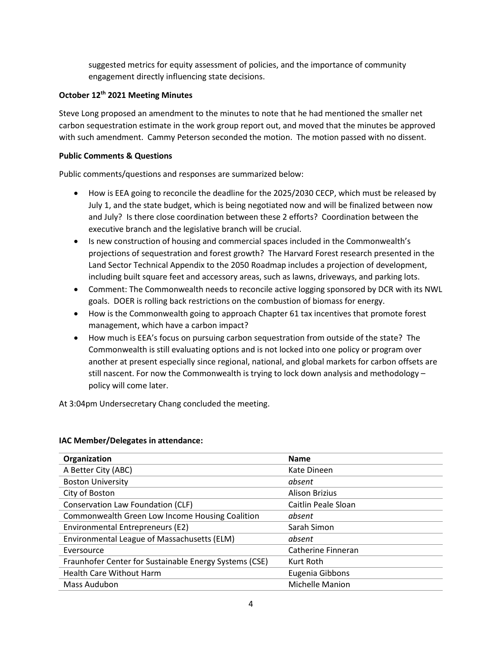suggested metrics for equity assessment of policies, and the importance of community engagement directly influencing state decisions.

# **October 12th 2021 Meeting Minutes**

Steve Long proposed an amendment to the minutes to note that he had mentioned the smaller net carbon sequestration estimate in the work group report out, and moved that the minutes be approved with such amendment. Cammy Peterson seconded the motion. The motion passed with no dissent.

## **Public Comments & Questions**

Public comments/questions and responses are summarized below:

- How is EEA going to reconcile the deadline for the 2025/2030 CECP, which must be released by July 1, and the state budget, which is being negotiated now and will be finalized between now and July? Is there close coordination between these 2 efforts? Coordination between the executive branch and the legislative branch will be crucial.
- Is new construction of housing and commercial spaces included in the Commonwealth's projections of sequestration and forest growth? The Harvard Forest research presented in the Land Sector Technical Appendix to the 2050 Roadmap includes a projection of development, including built square feet and accessory areas, such as lawns, driveways, and parking lots.
- Comment: The Commonwealth needs to reconcile active logging sponsored by DCR with its NWL goals. DOER is rolling back restrictions on the combustion of biomass for energy.
- How is the Commonwealth going to approach Chapter 61 tax incentives that promote forest management, which have a carbon impact?
- How much is EEA's focus on pursuing carbon sequestration from outside of the state? The Commonwealth is still evaluating options and is not locked into one policy or program over another at present especially since regional, national, and global markets for carbon offsets are still nascent. For now the Commonwealth is trying to lock down analysis and methodology – policy will come later.

At 3:04pm Undersecretary Chang concluded the meeting.

| Organization                                           | <b>Name</b>            |
|--------------------------------------------------------|------------------------|
| A Better City (ABC)                                    | Kate Dineen            |
| <b>Boston University</b>                               | absent                 |
| City of Boston                                         | <b>Alison Brizius</b>  |
| Conservation Law Foundation (CLF)                      | Caitlin Peale Sloan    |
| Commonwealth Green Low Income Housing Coalition        | absent                 |
| Environmental Entrepreneurs (E2)                       | Sarah Simon            |
| Environmental League of Massachusetts (ELM)            | absent                 |
| Eversource                                             | Catherine Finneran     |
| Fraunhofer Center for Sustainable Energy Systems (CSE) | Kurt Roth              |
| <b>Health Care Without Harm</b>                        | Eugenia Gibbons        |
| Mass Audubon                                           | <b>Michelle Manion</b> |

#### **IAC Member/Delegates in attendance:**